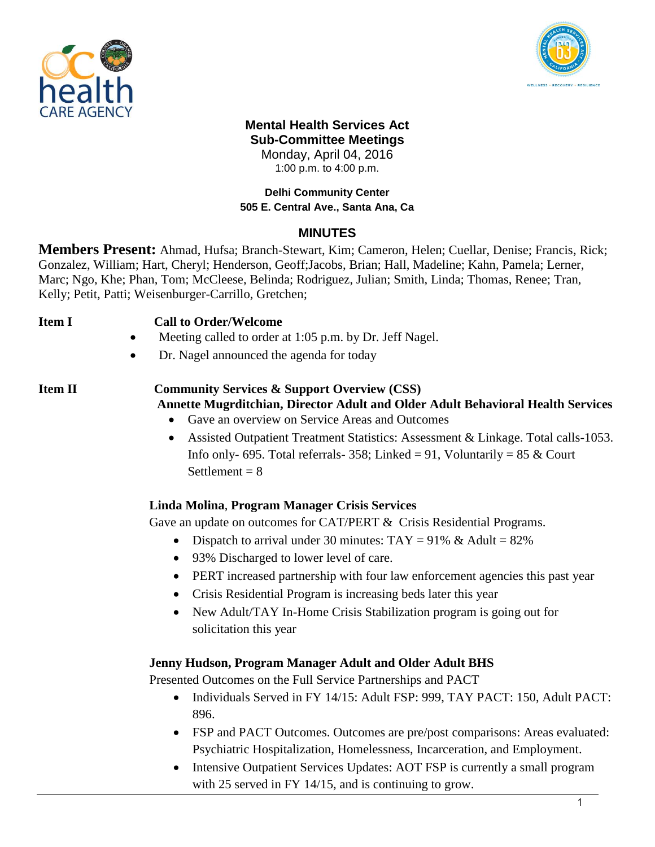



# **Mental Health Services Act Sub-Committee Meetings**

Monday, April 04, 2016 1:00 p.m. to 4:00 p.m.

### **Delhi Community Center 505 E. Central Ave., Santa Ana, Ca**

# **MINUTES**

**Members Present:** Ahmad, Hufsa; Branch-Stewart, Kim; Cameron, Helen; Cuellar, Denise; Francis, Rick; Gonzalez, William; Hart, Cheryl; Henderson, Geoff;Jacobs, Brian; Hall, Madeline; Kahn, Pamela; Lerner, Marc; Ngo, Khe; Phan, Tom; McCleese, Belinda; Rodriguez, Julian; Smith, Linda; Thomas, Renee; Tran, Kelly; Petit, Patti; Weisenburger-Carrillo, Gretchen;

#### **Item I Call to Order/Welcome**

- Meeting called to order at 1:05 p.m. by Dr. Jeff Nagel.
- Dr. Nagel announced the agenda for today

# **Item II Community Services & Support Overview (CSS)**

- **Annette Mugrditchian, Director Adult and Older Adult Behavioral Health Services** 
	- Gave an overview on Service Areas and Outcomes
	- Assisted Outpatient Treatment Statistics: Assessment & Linkage. Total calls-1053. Info only- 695. Total referrals- 358; Linked = 91, Voluntarily = 85  $&$  Court Settlement  $= 8$

### **Linda Molina**, **Program Manager Crisis Services**

Gave an update on outcomes for CAT/PERT & Crisis Residential Programs.

- Dispatch to arrival under 30 minutes:  $TAY = 91\%$  & Adult = 82%
- 93% Discharged to lower level of care.
- PERT increased partnership with four law enforcement agencies this past year
- Crisis Residential Program is increasing beds later this year
- New Adult/TAY In-Home Crisis Stabilization program is going out for solicitation this year

### **Jenny Hudson, Program Manager Adult and Older Adult BHS**

Presented Outcomes on the Full Service Partnerships and PACT

- Individuals Served in FY 14/15: Adult FSP: 999, TAY PACT: 150, Adult PACT: 896.
- FSP and PACT Outcomes. Outcomes are pre/post comparisons: Areas evaluated: Psychiatric Hospitalization, Homelessness, Incarceration, and Employment.
- Intensive Outpatient Services Updates: AOT FSP is currently a small program with 25 served in FY 14/15, and is continuing to grow.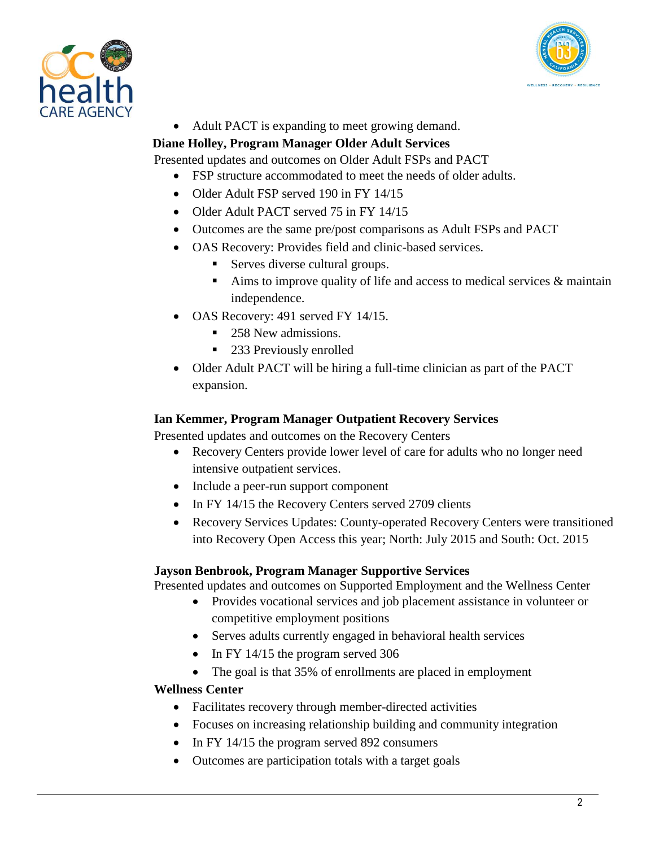



Adult PACT is expanding to meet growing demand.

# **Diane Holley, Program Manager Older Adult Services**

Presented updates and outcomes on Older Adult FSPs and PACT

- FSP structure accommodated to meet the needs of older adults.
- Older Adult FSP served 190 in FY 14/15
- Older Adult PACT served 75 in FY 14/15
- Outcomes are the same pre/post comparisons as Adult FSPs and PACT
- OAS Recovery: Provides field and clinic-based services.
	- **Serves diverse cultural groups.**
	- Aims to improve quality of life and access to medical services  $\&$  maintain independence.
- OAS Recovery: 491 served FY 14/15.
	- 258 New admissions.
	- 233 Previously enrolled
- Older Adult PACT will be hiring a full-time clinician as part of the PACT expansion.

### **Ian Kemmer, Program Manager Outpatient Recovery Services**

Presented updates and outcomes on the Recovery Centers

- Recovery Centers provide lower level of care for adults who no longer need intensive outpatient services.
- Include a peer-run support component
- In FY 14/15 the Recovery Centers served 2709 clients
- Recovery Services Updates: County-operated Recovery Centers were transitioned into Recovery Open Access this year; North: July 2015 and South: Oct. 2015

### **Jayson Benbrook, Program Manager Supportive Services**

Presented updates and outcomes on Supported Employment and the Wellness Center

- Provides vocational services and job placement assistance in volunteer or competitive employment positions
- Serves adults currently engaged in behavioral health services
- $\bullet$  In FY 14/15 the program served 306
- The goal is that 35% of enrollments are placed in employment

### **Wellness Center**

- Facilitates recovery through member-directed activities
- Focuses on increasing relationship building and community integration
- In FY 14/15 the program served 892 consumers
- Outcomes are participation totals with a target goals